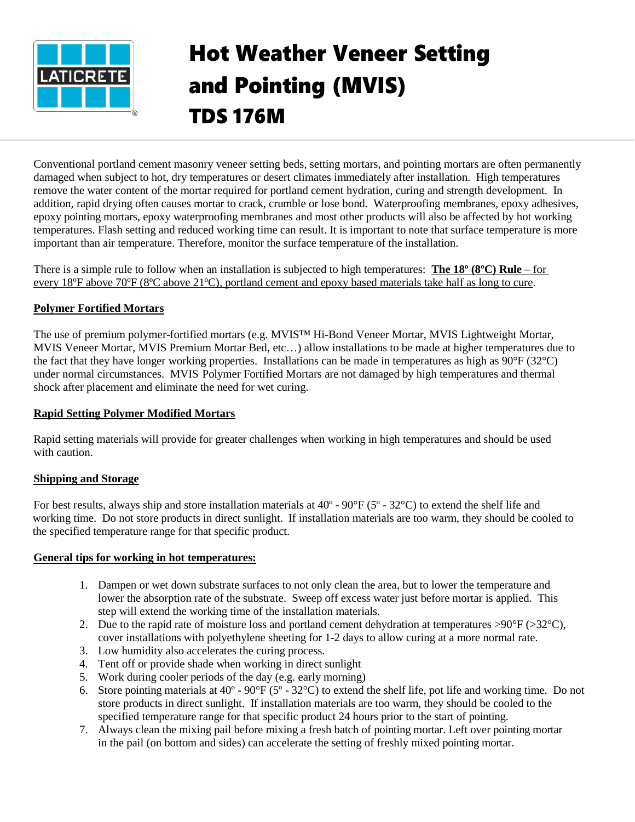

# Hot Weather Veneer Setting and Pointing (MVIS) TDS 176M

Conventional portland cement masonry veneer setting beds, setting mortars, and pointing mortars are often permanently damaged when subject to hot, dry temperatures or desert climates immediately after installation. High temperatures remove the water content of the mortar required for portland cement hydration, curing and strength development. In addition, rapid drying often causes mortar to crack, crumble or lose bond. Waterproofing membranes, epoxy adhesives, epoxy pointing mortars, epoxy waterproofing membranes and most other products will also be affected by hot working temperatures. Flash setting and reduced working time can result. It is important to note that surface temperature is more important than air temperature. Therefore, monitor the surface temperature of the installation.

There is a simple rule to follow when an installation is subjected to high temperatures: **The 18º (8ºC) Rule** – for every 18ºF above 70ºF (8ºC above 21ºC), portland cement and epoxy based materials take half as long to cure.

# **Polymer Fortified Mortars**

The use of premium polymer-fortified mortars (e.g. MVIS™ Hi-Bond Veneer Mortar, MVIS Lightweight Mortar, MVIS Veneer Mortar, MVIS Premium Mortar Bed, etc…) allow installations to be made at higher temperatures due to the fact that they have longer working properties. Installations can be made in temperatures as high as  $90^{\circ}F(32^{\circ}C)$ under normal circumstances. MVIS Polymer Fortified Mortars are not damaged by high temperatures and thermal shock after placement and eliminate the need for wet curing.

### **Rapid Setting Polymer Modified Mortars**

Rapid setting materials will provide for greater challenges when working in high temperatures and should be used with caution.

# **Shipping and Storage**

For best results, always ship and store installation materials at 40º - 90°F (5º - 32°C) to extend the shelf life and working time. Do not store products in direct sunlight. If installation materials are too warm, they should be cooled to the specified temperature range for that specific product.

#### **General tips for working in hot temperatures:**

- 1. Dampen or wet down substrate surfaces to not only clean the area, but to lower the temperature and lower the absorption rate of the substrate. Sweep off excess water just before mortar is applied. This step will extend the working time of the installation materials.
- 2. Due to the rapid rate of moisture loss and portland cement dehydration at temperatures  $>90^{\circ}F$  ( $>32^{\circ}C$ ), cover installations with polyethylene sheeting for 1-2 days to allow curing at a more normal rate.
- 3. Low humidity also accelerates the curing process.
- 4. Tent off or provide shade when working in direct sunlight
- 5. Work during cooler periods of the day (e.g. early morning)
- 6. Store pointing materials at 40º 90°F (5º 32°C) to extend the shelf life, pot life and working time. Do not store products in direct sunlight. If installation materials are too warm, they should be cooled to the specified temperature range for that specific product 24 hours prior to the start of pointing.
- 7. Always clean the mixing pail before mixing a fresh batch of pointing mortar. Left over pointing mortar in the pail (on bottom and sides) can accelerate the setting of freshly mixed pointing mortar.